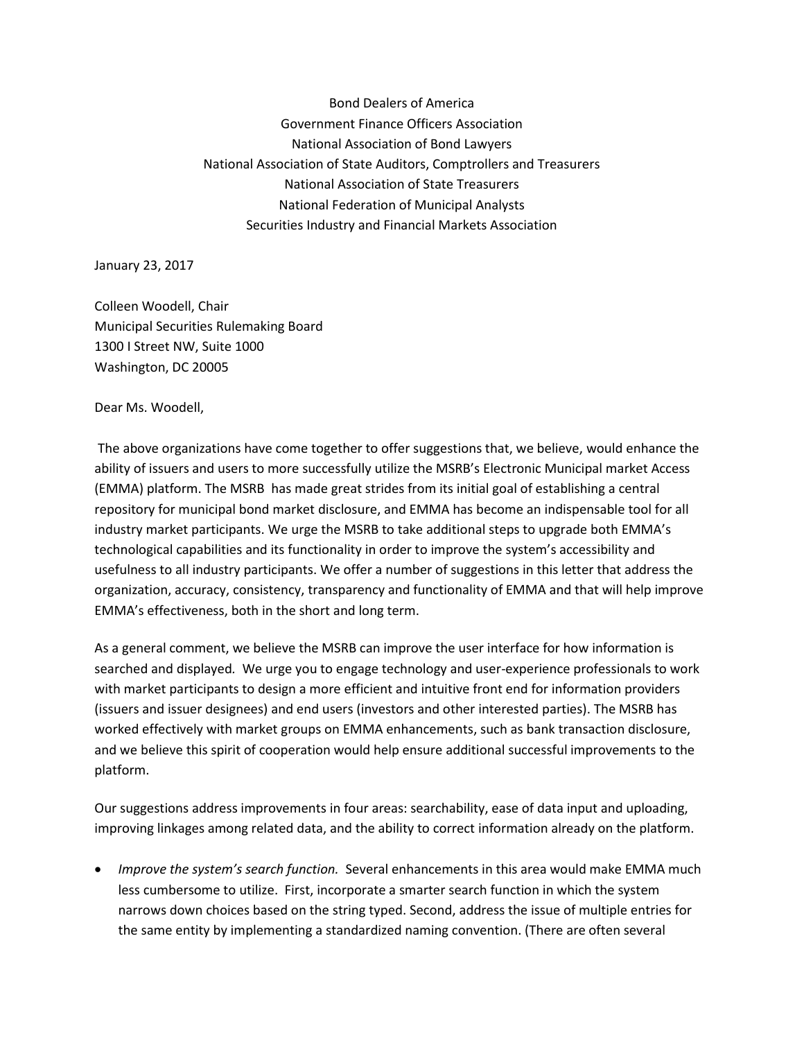Bond Dealers of America Government Finance Officers Association National Association of Bond Lawyers National Association of State Auditors, Comptrollers and Treasurers National Association of State Treasurers National Federation of Municipal Analysts Securities Industry and Financial Markets Association

January 23, 2017

Colleen Woodell, Chair Municipal Securities Rulemaking Board 1300 I Street NW, Suite 1000 Washington, DC 20005

Dear Ms. Woodell,

The above organizations have come together to offer suggestions that, we believe, would enhance the ability of issuers and users to more successfully utilize the MSRB's Electronic Municipal market Access (EMMA) platform. The MSRB has made great strides from its initial goal of establishing a central repository for municipal bond market disclosure, and EMMA has become an indispensable tool for all industry market participants. We urge the MSRB to take additional steps to upgrade both EMMA's technological capabilities and its functionality in order to improve the system's accessibility and usefulness to all industry participants. We offer a number of suggestions in this letter that address the organization, accuracy, consistency, transparency and functionality of EMMA and that will help improve EMMA's effectiveness, both in the short and long term.

As a general comment, we believe the MSRB can improve the user interface for how information is searched and displayed*.* We urge you to engage technology and user-experience professionals to work with market participants to design a more efficient and intuitive front end for information providers (issuers and issuer designees) and end users (investors and other interested parties). The MSRB has worked effectively with market groups on EMMA enhancements, such as bank transaction disclosure, and we believe this spirit of cooperation would help ensure additional successful improvements to the platform.

Our suggestions address improvements in four areas: searchability, ease of data input and uploading, improving linkages among related data, and the ability to correct information already on the platform.

 *Improve the system's search function.* Several enhancements in this area would make EMMA much less cumbersome to utilize. First, incorporate a smarter search function in which the system narrows down choices based on the string typed. Second, address the issue of multiple entries for the same entity by implementing a standardized naming convention. (There are often several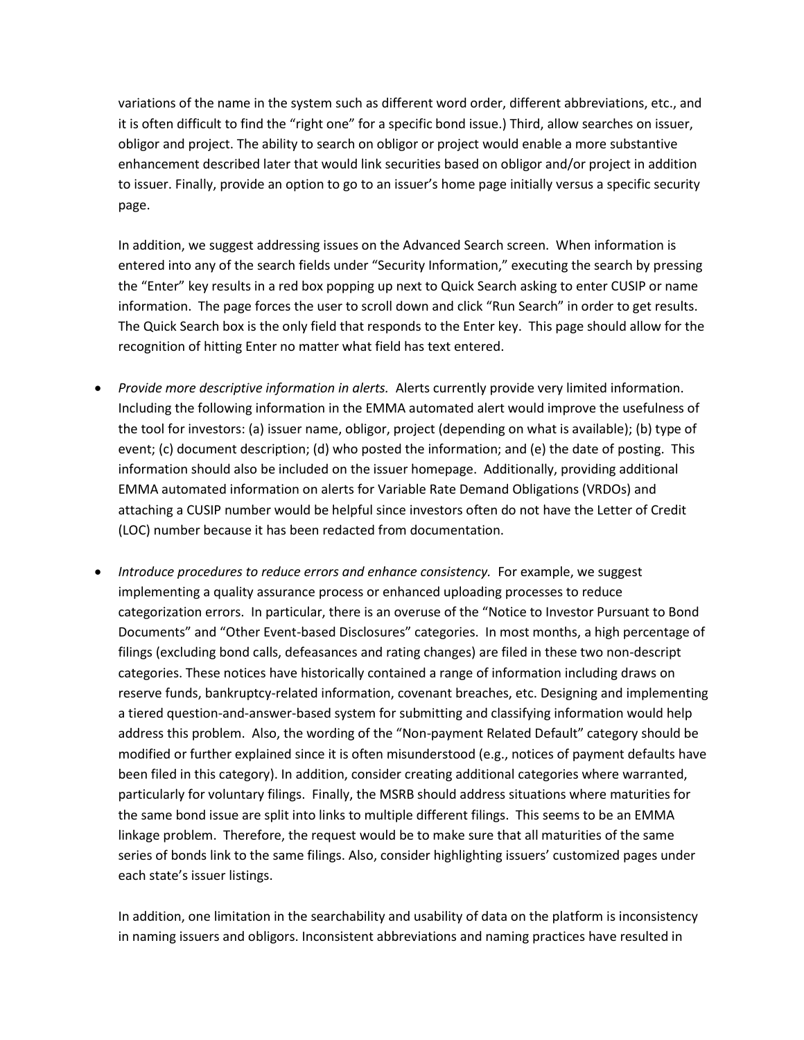variations of the name in the system such as different word order, different abbreviations, etc., and it is often difficult to find the "right one" for a specific bond issue.) Third, allow searches on issuer, obligor and project. The ability to search on obligor or project would enable a more substantive enhancement described later that would link securities based on obligor and/or project in addition to issuer. Finally, provide an option to go to an issuer's home page initially versus a specific security page.

In addition, we suggest addressing issues on the Advanced Search screen. When information is entered into any of the search fields under "Security Information," executing the search by pressing the "Enter" key results in a red box popping up next to Quick Search asking to enter CUSIP or name information. The page forces the user to scroll down and click "Run Search" in order to get results. The Quick Search box is the only field that responds to the Enter key. This page should allow for the recognition of hitting Enter no matter what field has text entered.

- *Provide more descriptive information in alerts.* Alerts currently provide very limited information. Including the following information in the EMMA automated alert would improve the usefulness of the tool for investors: (a) issuer name, obligor, project (depending on what is available); (b) type of event; (c) document description; (d) who posted the information; and (e) the date of posting. This information should also be included on the issuer homepage. Additionally, providing additional EMMA automated information on alerts for Variable Rate Demand Obligations (VRDOs) and attaching a CUSIP number would be helpful since investors often do not have the Letter of Credit (LOC) number because it has been redacted from documentation.
- *Introduce procedures to reduce errors and enhance consistency.* For example, we suggest implementing a quality assurance process or enhanced uploading processes to reduce categorization errors. In particular, there is an overuse of the "Notice to Investor Pursuant to Bond Documents" and "Other Event-based Disclosures" categories. In most months, a high percentage of filings (excluding bond calls, defeasances and rating changes) are filed in these two non-descript categories. These notices have historically contained a range of information including draws on reserve funds, bankruptcy-related information, covenant breaches, etc. Designing and implementing a tiered question-and-answer-based system for submitting and classifying information would help address this problem. Also, the wording of the "Non-payment Related Default" category should be modified or further explained since it is often misunderstood (e.g., notices of payment defaults have been filed in this category). In addition, consider creating additional categories where warranted, particularly for voluntary filings. Finally, the MSRB should address situations where maturities for the same bond issue are split into links to multiple different filings. This seems to be an EMMA linkage problem. Therefore, the request would be to make sure that all maturities of the same series of bonds link to the same filings. Also, consider highlighting issuers' customized pages under each state's issuer listings.

In addition, one limitation in the searchability and usability of data on the platform is inconsistency in naming issuers and obligors. Inconsistent abbreviations and naming practices have resulted in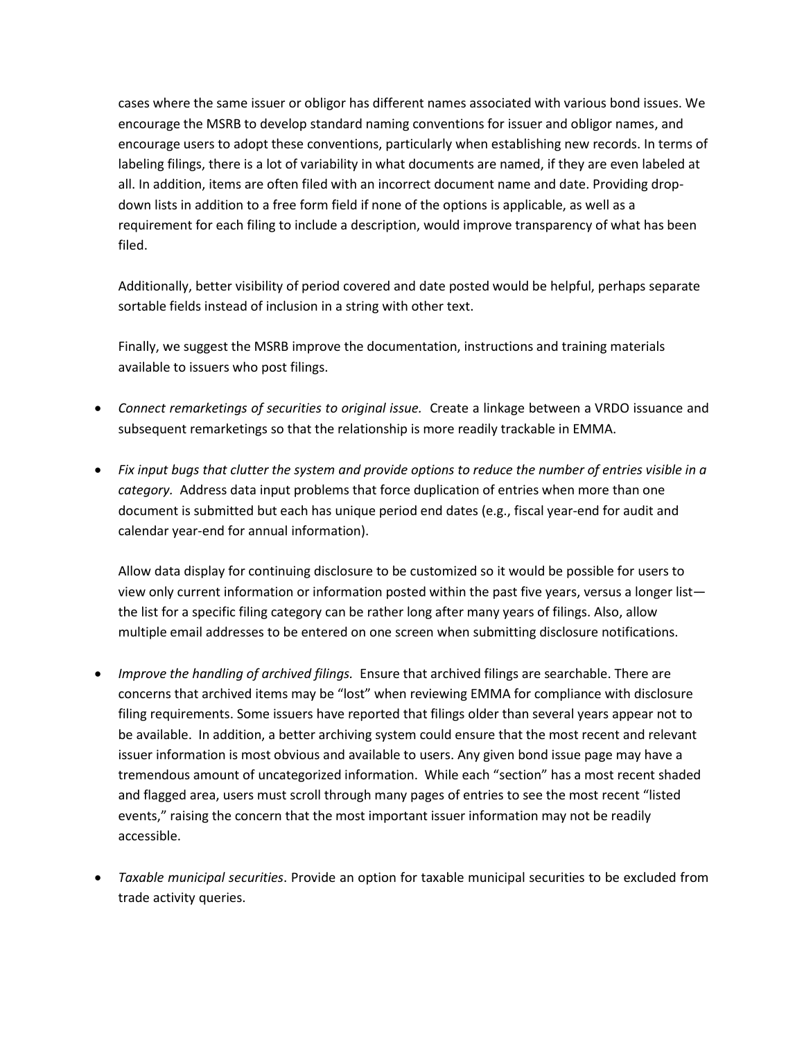cases where the same issuer or obligor has different names associated with various bond issues. We encourage the MSRB to develop standard naming conventions for issuer and obligor names, and encourage users to adopt these conventions, particularly when establishing new records. In terms of labeling filings, there is a lot of variability in what documents are named, if they are even labeled at all. In addition, items are often filed with an incorrect document name and date. Providing dropdown lists in addition to a free form field if none of the options is applicable, as well as a requirement for each filing to include a description, would improve transparency of what has been filed.

Additionally, better visibility of period covered and date posted would be helpful, perhaps separate sortable fields instead of inclusion in a string with other text.

Finally, we suggest the MSRB improve the documentation, instructions and training materials available to issuers who post filings.

- *Connect remarketings of securities to original issue.* Create a linkage between a VRDO issuance and subsequent remarketings so that the relationship is more readily trackable in EMMA.
- *Fix input bugs that clutter the system and provide options to reduce the number of entries visible in a category.* Address data input problems that force duplication of entries when more than one document is submitted but each has unique period end dates (e.g., fiscal year-end for audit and calendar year-end for annual information).

Allow data display for continuing disclosure to be customized so it would be possible for users to view only current information or information posted within the past five years, versus a longer list the list for a specific filing category can be rather long after many years of filings. Also, allow multiple email addresses to be entered on one screen when submitting disclosure notifications.

- *Improve the handling of archived filings.* Ensure that archived filings are searchable. There are concerns that archived items may be "lost" when reviewing EMMA for compliance with disclosure filing requirements. Some issuers have reported that filings older than several years appear not to be available. In addition, a better archiving system could ensure that the most recent and relevant issuer information is most obvious and available to users. Any given bond issue page may have a tremendous amount of uncategorized information. While each "section" has a most recent shaded and flagged area, users must scroll through many pages of entries to see the most recent "listed events," raising the concern that the most important issuer information may not be readily accessible.
- *Taxable municipal securities*. Provide an option for taxable municipal securities to be excluded from trade activity queries.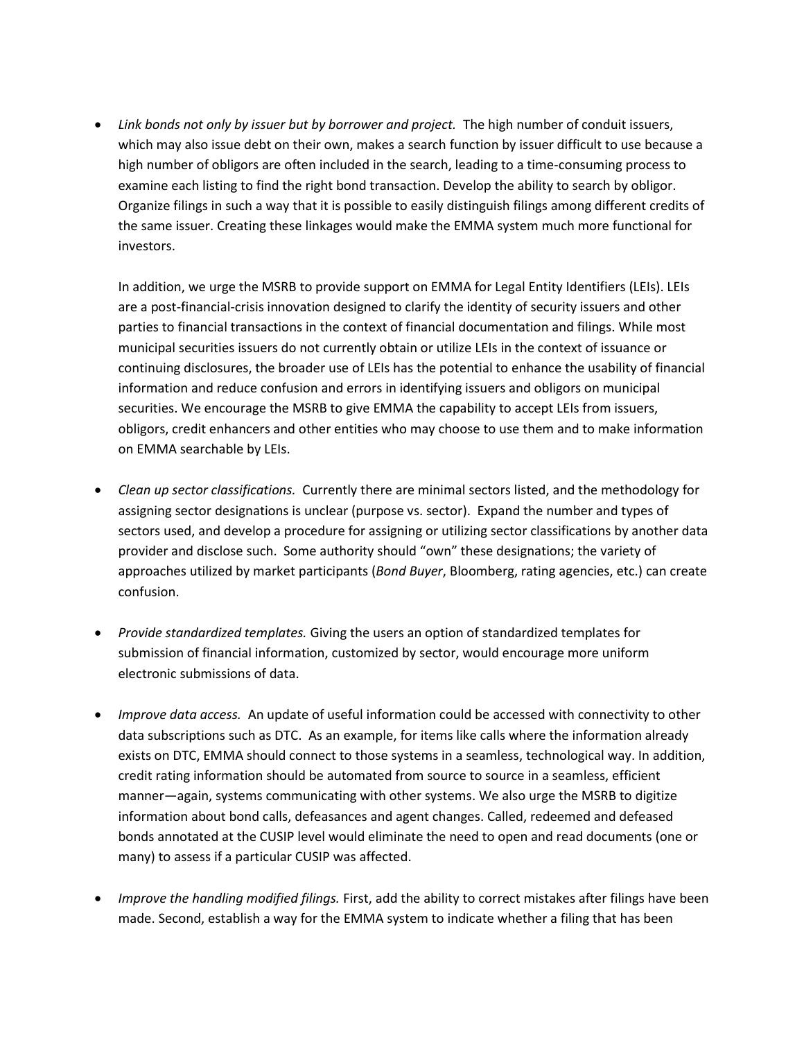• Link bonds not only by issuer but by borrower and project. The high number of conduit issuers, which may also issue debt on their own, makes a search function by issuer difficult to use because a high number of obligors are often included in the search, leading to a time-consuming process to examine each listing to find the right bond transaction. Develop the ability to search by obligor. Organize filings in such a way that it is possible to easily distinguish filings among different credits of the same issuer. Creating these linkages would make the EMMA system much more functional for investors.

In addition, we urge the MSRB to provide support on EMMA for Legal Entity Identifiers (LEIs). LEIs are a post-financial-crisis innovation designed to clarify the identity of security issuers and other parties to financial transactions in the context of financial documentation and filings. While most municipal securities issuers do not currently obtain or utilize LEIs in the context of issuance or continuing disclosures, the broader use of LEIs has the potential to enhance the usability of financial information and reduce confusion and errors in identifying issuers and obligors on municipal securities. We encourage the MSRB to give EMMA the capability to accept LEIs from issuers, obligors, credit enhancers and other entities who may choose to use them and to make information on EMMA searchable by LEIs.

- *Clean up sector classifications.* Currently there are minimal sectors listed, and the methodology for assigning sector designations is unclear (purpose vs. sector). Expand the number and types of sectors used, and develop a procedure for assigning or utilizing sector classifications by another data provider and disclose such. Some authority should "own" these designations; the variety of approaches utilized by market participants (*Bond Buyer*, Bloomberg, rating agencies, etc.) can create confusion.
- *Provide standardized templates.* Giving the users an option of standardized templates for submission of financial information, customized by sector, would encourage more uniform electronic submissions of data.
- *Improve data access.* An update of useful information could be accessed with connectivity to other data subscriptions such as DTC. As an example, for items like calls where the information already exists on DTC, EMMA should connect to those systems in a seamless, technological way. In addition, credit rating information should be automated from source to source in a seamless, efficient manner—again, systems communicating with other systems. We also urge the MSRB to digitize information about bond calls, defeasances and agent changes. Called, redeemed and defeased bonds annotated at the CUSIP level would eliminate the need to open and read documents (one or many) to assess if a particular CUSIP was affected.
- *Improve the handling modified filings.* First, add the ability to correct mistakes after filings have been made. Second, establish a way for the EMMA system to indicate whether a filing that has been